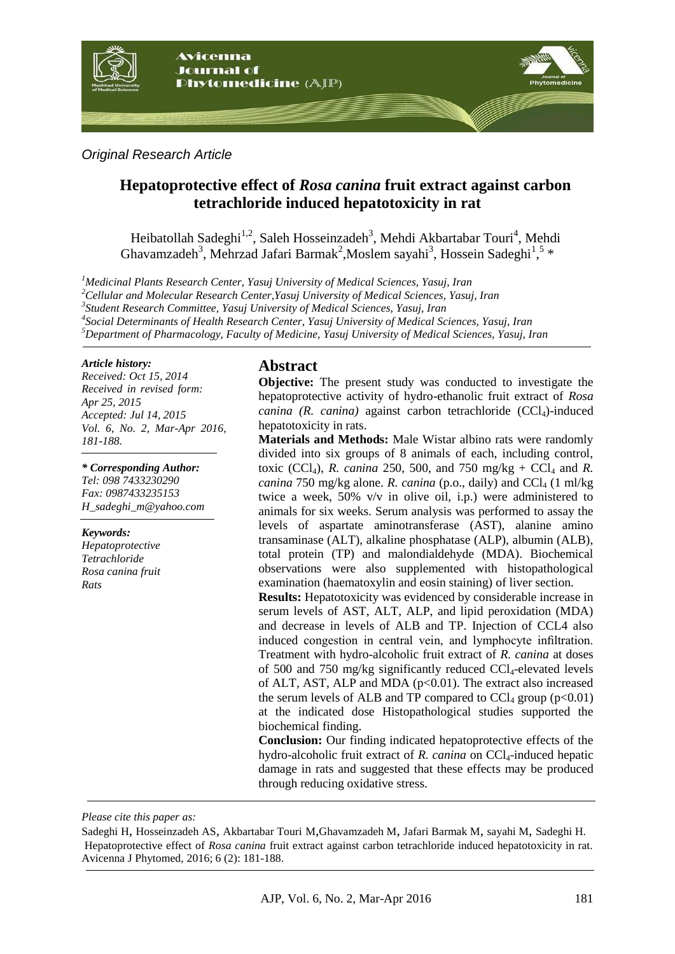

*Original Research Article*

# **Hepatoprotective effect of** *Rosa canina* **fruit extract against carbon tetrachloride induced hepatotoxicity in rat**

Heibatollah Sadeghi<sup>1,2</sup>, Saleh Hosseinzadeh<sup>3</sup>, Mehdi Akbartabar Touri<sup>4</sup>, Mehdi Ghavamzadeh<sup>3</sup>, Mehrzad Jafari Barmak<sup>2</sup>, Moslem sayahi<sup>3</sup>, Hossein Sadeghi<sup>1</sup>,<sup>5</sup> \*

*Medicinal Plants Research Center, Yasuj University of Medical Sciences, Yasuj, Iran Cellular and Molecular Research Center,Yasuj University of Medical Sciences, Yasuj, Iran Student Research Committee, Yasuj University of Medical Sciences, Yasuj, Iran Social Determinants of Health Research Center, Yasuj University of Medical Sciences, Yasuj, Iran Department of Pharmacology, Faculty of Medicine, Yasuj University of Medical Sciences, Yasuj, Iran*

#### *Article history:*

*Received: Oct 15, 2014 Received in revised form:* *Apr 25, 2015 Accepted: Jul 14, 2015 Vol. 6, No. 2, Mar-Apr 2016, 181-188.*

*\* Corresponding Author: Tel: 098 7433230290 Fax: 0987433235153 [H\\_sadeghi\\_m@yahoo.com](mailto:H_sadeghi_m@yahoo.com)*

#### *Keywords:*

*Hepatoprotective Tetrachloride Rosa canina fruit Rats*

#### **Abstract**

**Objective:** The present study was conducted to investigate the hepatoprotective activity of hydro-ethanolic fruit extract of *Rosa canina (R. canina)* against carbon tetrachloride (CCl<sub>4</sub>)-induced hepatotoxicity in rats.

**Materials and Methods:** Male Wistar albino rats were randomly divided into six groups of 8 animals of each, including control, toxic (CCl<sub>4</sub>), *R. canina* 250, 500, and 750 mg/kg + CCl<sub>4</sub> and *R*. *canina* 750 mg/kg alone. *R. canina* (p.o., daily) and  $CCl<sub>4</sub>$  (1 ml/kg) twice a week, 50% v/v in olive oil, i.p.) were administered to animals for six weeks. Serum analysis was performed to assay the levels of aspartate aminotransferase (AST), alanine amino transaminase (ALT), alkaline phosphatase (ALP), albumin (ALB), total protein (TP) and malondialdehyde (MDA). Biochemical observations were also supplemented with histopathological examination (haematoxylin and eosin staining) of liver section.

**Results:** Hepatotoxicity was evidenced by considerable increase in serum levels of AST, ALT, ALP, and lipid peroxidation (MDA) and decrease in levels of ALB and TP. Injection of CCL4 also induced congestion in central vein, and lymphocyte infiltration. Treatment with hydro-alcoholic fruit extract of *R. canina* at doses of 500 and 750 mg/kg significantly reduced  $CCl_4$ -elevated levels of ALT, AST, ALP and MDA  $(p<0.01)$ . The extract also increased the serum levels of ALB and TP compared to  $CCl_4$  group ( $p<0.01$ ) at the indicated dose Histopathological studies supported the biochemical finding.

**Conclusion:** Our finding indicated hepatoprotective effects of the hydro-alcoholic fruit extract of *R. canina* on CCl<sub>4</sub>-induced hepatic damage in rats and suggested that these effects may be produced through reducing oxidative stress.

*Please cite this paper as:* 

Sadeghi H, Hosseinzadeh AS, Akbartabar Touri M,Ghavamzadeh M, Jafari Barmak M, sayahi M, Sadeghi H. Hepatoprotective effect of *Rosa canina* fruit extract against carbon tetrachloride induced hepatotoxicity in rat. Avicenna J Phytomed, 2016; 6 (2): 181-188.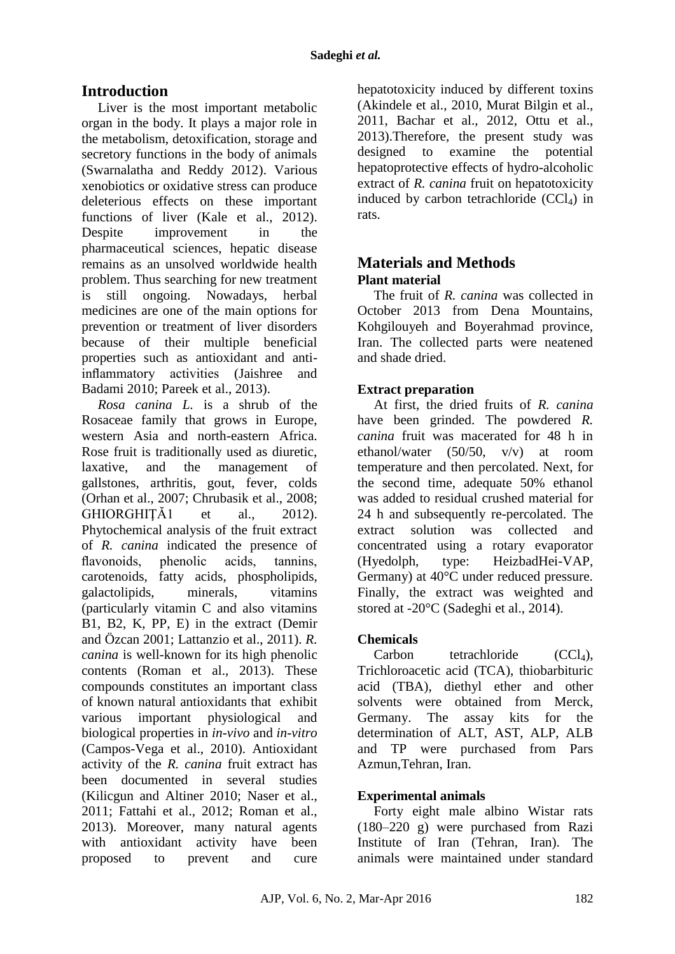# **Introduction**

Liver is the most important metabolic organ in the body. It plays a major role in the metabolism, detoxification, storage and secretory functions in the body of animals [\(Swarnalatha and Reddy 2012\)](#page-7-0). Various xenobiotics or oxidative stress can produce deleterious effects on these important functions of liver [\(Kale et al.,](#page-6-0) 2012). Despite improvement in the pharmaceutical sciences, hepatic disease remains as an unsolved worldwide health problem. Thus searching for new treatment is still ongoing. Nowadays, herbal medicines are one of the main options for prevention or treatment of liver disorders because of their multiple beneficial properties such as antioxidant and antiinflammatory activities [\(Jaishree and](#page-6-1)  [Badami 2010;](#page-6-1) [Pareek et al.,](#page-6-2) 2013).

*Rosa canina L.* is a shrub of the Rosaceae family that grows in Europe, western Asia and north-eastern Africa. Rose fruit is traditionally used as diuretic, laxative, and the management of gallstones, arthritis, gout, fever, colds [\(Orhan et al.,](#page-6-3) 2007; [Chrubasik et al.,](#page-5-0) 2008; GHIORGHIȚĂ1 et al., 2012). Phytochemical analysis of the fruit extract of *R. canina* indicated the presence of flavonoids, phenolic acids, tannins, carotenoids, fatty acids, phospholipids, galactolipids, minerals, vitamins (particularly vitamin C and also vitamins B1, B2, K, PP, E) in the extract [\(Demir](#page-5-1)  [and Özcan 2001;](#page-5-1) [Lattanzio et al.,](#page-6-5) 2011). *R. canina* is well-known for its high phenolic contents [\(Roman et al.,](#page-6-6) 2013). These compounds constitutes an important class of known natural antioxidants that exhibit various important physiological and biological properties in *in-vivo* and *in-vitro* [\(Campos-Vega et al.,](#page-5-2) 2010). Antioxidant activity of the *R. canina* fruit extract has been documented in several studies [\(Kilicgun and Altiner 2010;](#page-6-7) [Naser et al.,](#page-6-8) [2011;](#page-6-8) [Fattahi et al.,](#page-5-3) 2012; [Roman et al.,](#page-6-6) [2013\)](#page-6-6). Moreover, many natural agents with antioxidant activity have been proposed to prevent and cure hepatotoxicity induced by different toxins [\(Akindele et al.,](#page-5-4) 2010, [Murat Bilgin et al.,](#page-6-9) [2011,](#page-6-9) [Bachar et al.,](#page-5-5) 2012, [Ottu et al.,](#page-6-10) [2013\)](#page-6-10).Therefore, the present study was designed to examine the potential hepatoprotective effects of hydro-alcoholic extract of *R. canina* fruit on hepatotoxicity induced by carbon tetrachloride  $(CCl<sub>4</sub>)$  in rats.

## **Materials and Methods Plant material**

The fruit of *R. canina* was collected in October 2013 from Dena Mountains, Kohgilouyeh and Boyerahmad province, Iran. The collected parts were neatened and shade dried.

## **Extract preparation**

At first, the dried fruits of *R. canina* have been grinded. The powdered *R*. *canina* fruit was macerated for 48 h in ethanol/water (50/50, v/v) at room temperature and then percolated. Next, for the second time, adequate 50% ethanol was added to residual crushed material for 24 h and subsequently re-percolated. The extract solution was collected and concentrated using a rotary evaporator (Hyedolph, type: HeizbadHei-VAP, Germany) at 40°C under reduced pressure. Finally, the extract was weighted and stored at -20°C (Sadeghi et al., 2014).

## **Chemicals**

 $Carbon$  tetrachloride  $(CCl<sub>4</sub>)$ , Trichloroacetic acid (TCA), thiobarbituric acid (TBA), diethyl ether and other solvents were obtained from Merck, Germany. The assay kits for the determination of ALT, AST, ALP, ALB and TP were purchased from Pars Azmun,Tehran, Iran.

## **Experimental animals**

Forty eight male albino Wistar rats (180–220 g) were purchased from Razi Institute of Iran (Tehran, Iran). The animals were maintained under standard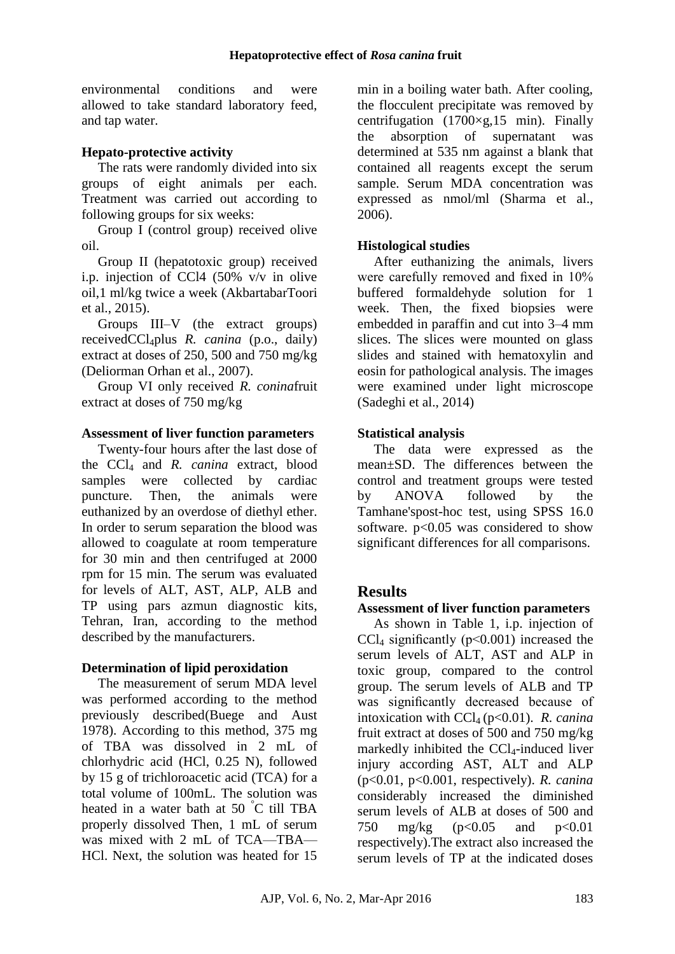environmental conditions and were allowed to take standard laboratory feed, and tap water.

## **Hepato-protective activity**

The rats were randomly divided into six groups of eight animals per each. Treatment was carried out according to following groups for six weeks:

Group I (control group) received olive oil.

Group II (hepatotoxic group) received i.p. injection of CCl4 (50% v/v in olive oil,1 ml/kg twice a week (AkbartabarToori et al., 2015).

Groups III–V (the extract groups) receivedCCl4plus *R. canina* (p.o., daily) extract at doses of 250, 500 and 750 mg/kg [\(Deliorman](http://www.sciencedirect.com/science/article/pii/S0378874107001638) Orhan et al., 2007).

Group VI only received *R. conina*fruit extract at doses of 750 mg/kg

## **Assessment of liver function parameters**

Twenty-four hours after the last dose of the CCl<sup>4</sup> and *R. canina* extract, blood samples were collected by cardiac puncture. Then, the animals were euthanized by an overdose of diethyl ether. In order to serum separation the blood was allowed to coagulate at room temperature for 30 min and then centrifuged at 2000 rpm for 15 min. The serum was evaluated for levels of ALT, AST, ALP, ALB and TP using pars azmun diagnostic kits, Tehran, Iran, according to the method described by the manufacturers.

## **Determination of lipid peroxidation**

The measurement of serum MDA level was performed according to the method previously described[\(Buege and Aust](#page-5-6)  [1978\)](#page-5-6). According to this method, 375 mg of TBA was dissolved in 2 mL of chlorhydric acid (HCl, 0.25 N), followed by 15 g of trichloroacetic acid (TCA) for a total volume of 100mL. The solution was heated in a water bath at 50 °C till TBA properly dissolved Then, 1 mL of serum was mixed with 2 mL of TCA—TBA— HCl. Next, the solution was heated for 15

min in a boiling water bath. After cooling, the flocculent precipitate was removed by centrifugation  $(1700 \times g, 15 \text{ min})$ . Finally the absorption of supernatant was determined at 535 nm against a blank that contained all reagents except the serum sample. Serum MDA concentration was expressed as nmol/ml [\(Sharma et al.,](#page-7-1) [2006\)](#page-7-1).

## **Histological studies**

After euthanizing the animals, livers were carefully removed and fixed in 10% buffered formaldehyde solution for 1 week. Then, the fixed biopsies were embedded in paraffin and cut into 3–4 mm slices. The slices were mounted on glass slides and stained with hematoxylin and eosin for pathological analysis. The images were examined under light microscope (Sadeghi et al., 2014)

## **Statistical analysis**

The data were expressed as the mean±SD. The differences between the control and treatment groups were tested by ANOVA followed by the Tamhane'spost-hoc test, using SPSS 16.0 software. p<0.05 was considered to show significant differences for all comparisons.

# **Results**

## **Assessment of liver function parameters**

As shown in Table 1, i.p. injection of  $CCl<sub>4</sub>$  significantly ( $p<0.001$ ) increased the serum levels of ALT, AST and ALP in toxic group, compared to the control group. The serum levels of ALB and TP was significantly decreased because of intoxication with CCl<sup>4</sup> (p<0.01). *R. canina* fruit extract at doses of 500 and 750 mg/kg markedly inhibited the  $CCl<sub>4</sub>$ -induced liver injury according AST, ALT and ALP (p<0.01, p<0.001, respectively). *R. canina* considerably increased the diminished serum levels of ALB at doses of 500 and 750 mg/kg (p<0.05 and p<0.01 respectively).The extract also increased the serum levels of TP at the indicated doses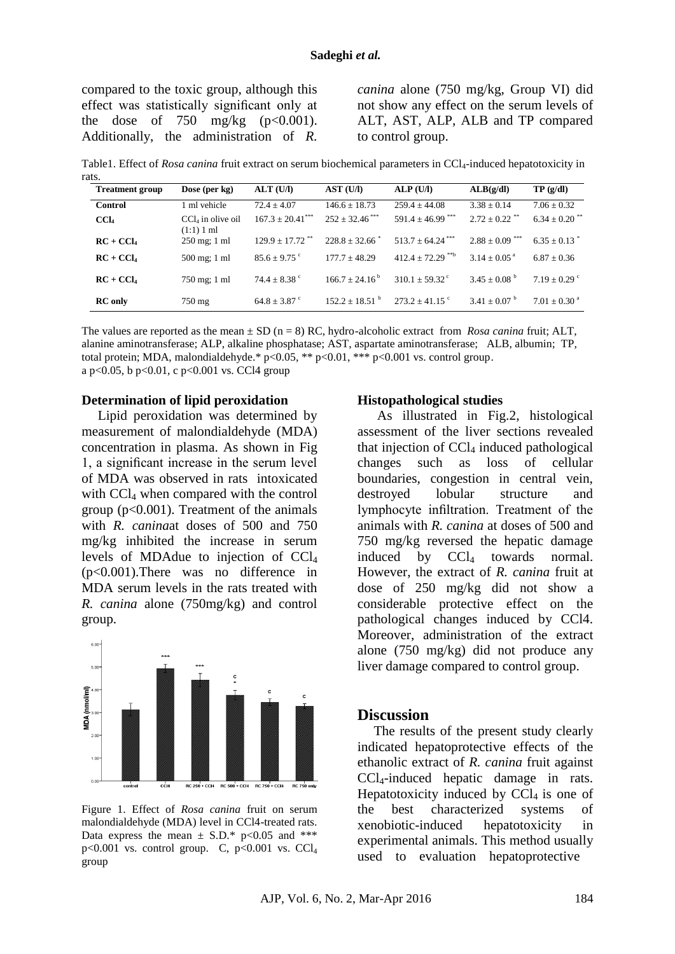compared to the toxic group, although this effect was statistically significant only at the dose of 750 mg/kg  $(p<0.001)$ . Additionally, the administration of *R.* 

*canina* alone (750 mg/kg, Group VI) did not show any effect on the serum levels of ALT, AST, ALP, ALB and TP compared to control group.

Table1. Effect of *Rosa canina* fruit extract on serum biochemical parameters in CCl<sub>4</sub>-induced hepatotoxicity in

| rats. |                        |                                   |                                 |                                |                                  |                                |                               |
|-------|------------------------|-----------------------------------|---------------------------------|--------------------------------|----------------------------------|--------------------------------|-------------------------------|
|       | <b>Treatment group</b> | Dose (per $kg$ )                  | ALT(U/I)                        | AST (U/I)                      | ALP(U/I)                         | ALB(g/dl)                      | TP(g/dl)                      |
|       | <b>Control</b>         | 1 ml vehicle                      | $72.4 + 4.07$                   | $146.6 + 18.73$                | $259.4 + 44.08$                  | $3.38 \pm 0.14$                | $7.06 + 0.32$                 |
|       | CCl <sub>4</sub>       | $CCl4$ in olive oil<br>(1:1) 1 ml | $167.3 + 20.41$ ***             | $252 \pm 32.46$ <sup>***</sup> | 591.4 $\pm$ 46.99 <sup>***</sup> | $2.72 \pm 0.22$ **             | $6.34 \pm 0.20$ <sup>**</sup> |
|       | $RC + CCl4$            | $250 \text{ mg}$ ; 1 ml           | $129.9 \pm 17.72$ <sup>**</sup> | $228.8 + 32.66$                | $513.7 \pm 64.24$ <sup>***</sup> | $2.88 \pm 0.09$ <sup>***</sup> | $6.35 + 0.13$                 |
|       | $RC + CCl4$            | 500 mg; 1 ml                      | $85.6 \pm 9.75$ °               | $177.7 + 48.29$                | $412.4 + 72.29$ <sup>**b</sup>   | $3.14 + 0.05^{\text{a}}$       | $6.87 + 0.36$                 |
|       | $RC + CCl4$            | 750 mg; 1 ml                      | $74.4 \pm 8.38$ °               | $166.7 + 24.16^{\mathrm{b}}$   | $310.1 + 59.32$ <sup>c</sup>     | $3.45 \pm 0.08^{\mathrm{b}}$   | $7.19 + 0.29$ °               |
|       | <b>RC</b> only         | $750 \text{ mg}$                  | $64.8 \pm 3.87$ °               | $152.2 + 18.51$ <sup>b</sup>   | $273.2 \pm 41.15$ °              | $3.41 + 0.07^{\text{b}}$       | $7.01 \pm 0.30$ <sup>a</sup>  |

The values are reported as the mean  $\pm$  SD (n = 8) RC, hydro-alcoholic extract from *Rosa canina* fruit; ALT, alanine aminotransferase; ALP, alkaline phosphatase; AST, aspartate aminotransferase; ALB, albumin; TP, total protein; MDA, malondialdehyde.\*  $p < 0.05$ , \*\*  $p < 0.01$ , \*\*\*  $p < 0.001$  vs. control group. a p<0.05, b p<0.01, c p<0.001 vs. CCl4 group

#### **Determination of lipid peroxidation**

Lipid peroxidation was determined by measurement of malondialdehyde (MDA) concentration in plasma. As shown in Fig 1, a significant increase in the serum level of MDA was observed in rats intoxicated with CCl<sub>4</sub> when compared with the control group ( $p<0.001$ ). Treatment of the animals with *R. canina*at doses of 500 and 750 mg/kg inhibited the increase in serum levels of MDAdue to injection of CCl<sup>4</sup> (p<0.001).There was no difference in MDA serum levels in the rats treated with *R. canina* alone (750mg/kg) and control group.



Figure 1. Effect of *Rosa canina* fruit on serum malondialdehyde (MDA) level in CCl4-treated rats. Data express the mean  $\pm$  S.D.\* p<0.05 and \*\*\*  $p<0.001$  vs. control group. C,  $p<0.001$  vs. CCl<sub>4</sub> group

#### **Histopathological studies**

As illustrated in Fig.2, histological assessment of the liver sections revealed that injection of  $\text{CCl}_4$  induced pathological changes such as loss of cellular boundaries, congestion in central vein, destroyed lobular structure and lymphocyte infiltration. Treatment of the animals with *R. canina* at doses of 500 and 750 mg/kg reversed the hepatic damage induced by  $CCl_4$  towards normal. However, the extract of *R. canina* fruit at dose of 250 mg/kg did not show a considerable protective effect on the pathological changes induced by CCl4. Moreover, administration of the extract alone (750 mg/kg) did not produce any liver damage compared to control group.

#### **Discussion**

The results of the present study clearly indicated hepatoprotective effects of the ethanolic extract of *R. canina* fruit against CCl4-induced hepatic damage in rats. Hepatotoxicity induced by  $CCl<sub>4</sub>$  is one of the best characterized systems of xenobiotic-induced hepatotoxicity in experimental animals. This method usually used to evaluation hepatoprotective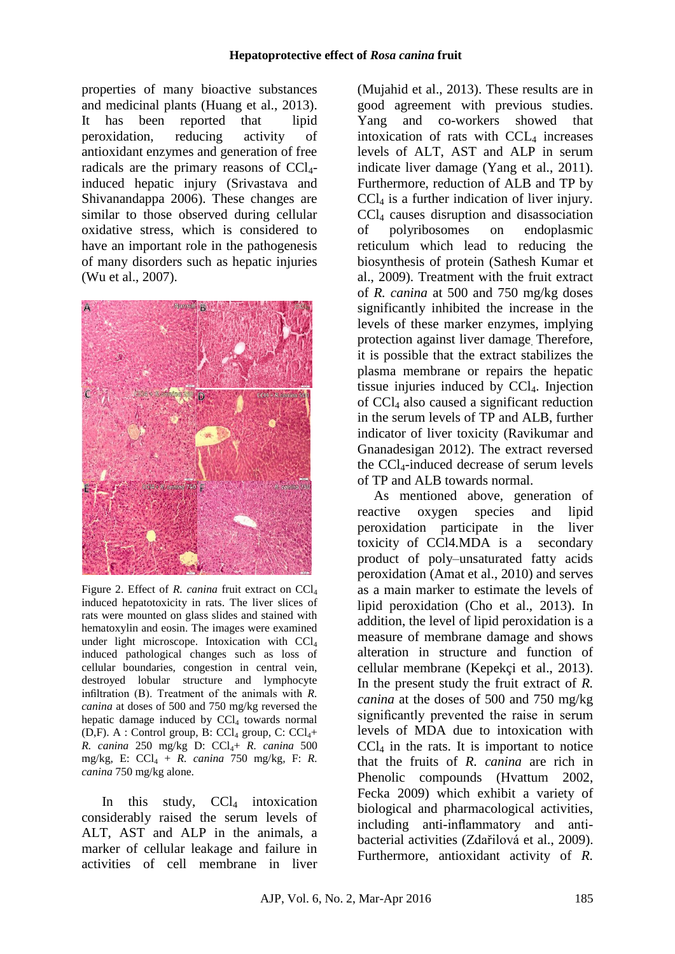properties of many bioactive substances and medicinal plants [\(Huang et al.,](#page-6-11) 2013). It has been reported that lipid peroxidation, reducing activity of antioxidant enzymes and generation of free radicals are the primary reasons of CCl4 induced hepatic injury [\(Srivastava and](#page-7-2)  [Shivanandappa](#page-7-2) 2006). These changes are similar to those observed during cellular oxidative stress, which is considered to have an important role in the pathogenesis of many disorders such as hepatic injuries [\(Wu et al.,](#page-7-3) 2007).



Figure 2. Effect of *R. canina* fruit extract on CCl<sub>4</sub> induced hepatotoxicity in rats. The liver slices of rats were mounted on glass slides and stained with hematoxylin and eosin. The images were examined under light microscope. Intoxication with CCl<sub>4</sub> induced pathological changes such as loss of cellular boundaries, congestion in central vein, destroyed lobular structure and lymphocyte infiltration (B). Treatment of the animals with *R. canina* at doses of 500 and 750 mg/kg reversed the hepatic damage induced by  $CCl<sub>4</sub>$  towards normal (D,F). A : Control group, B:  $CCl_4$  group, C:  $CCl_{4}+$ *R. canina* 250 mg/kg D: CCl<sub>4</sub>+ *R. canina* 500 mg/kg, E: CCl<sup>4</sup> + *R. canina* 750 mg/kg, F: *R. canina* 750 mg/kg alone.

In this study,  $CCl<sub>4</sub>$  intoxication considerably raised the serum levels of ALT, AST and ALP in the animals, a marker of cellular leakage and failure in activities of cell membrane in liver

[\(Mujahid et al.,](#page-6-12) 2013). These results are in good agreement with previous studies. Yang and co-workers showed that intoxication of rats with  $CCL<sub>4</sub>$  increases levels of ALT, AST and ALP in serum indicate liver damage [\(Yang et al.,](#page-7-4) 2011). Furthermore, reduction of ALB and TP by CCl<sup>4</sup> is a further indication of liver injury. CCl<sup>4</sup> causes disruption and disassociation of polyribosomes on endoplasmic reticulum which lead to reducing the biosynthesis of protein [\(Sathesh Kumar et](#page-6-13)  al., [2009\)](#page-6-13). Treatment with the fruit extract of *R. canina* at 500 and 750 mg/kg doses significantly inhibited the increase in the levels of these marker enzymes, implying protection against liver damage. Therefore, it is possible that the extract stabilizes the plasma membrane or repairs the hepatic tissue injuries induced by  $CCl<sub>4</sub>$ . Injection of CCl<sup>4</sup> also caused a significant reduction in the serum levels of TP and ALB, further indicator of liver toxicity [\(Ravikumar and](#page-6-14)  [Gnanadesigan 2012\)](#page-6-14). The extract reversed the CCl4-induced decrease of serum levels of TP and ALB towards normal.

As mentioned above, generation of reactive oxygen species and lipid peroxidation participate in the liver toxicity of CCl4.MDA is a secondary product of poly–unsaturated fatty acids peroxidation [\(Amat et al.,](#page-5-7) 2010) and serves as a main marker to estimate the levels of lipid peroxidation [\(Cho et al.,](#page-5-8) 2013). In addition, the level of lipid peroxidation is a measure of membrane damage and shows alteration in structure and function of cellular membrane [\(Kepekçi et al.,](#page-6-15) 2013). In the present study the fruit extract of *R. canina* at the doses of 500 and 750 mg/kg significantly prevented the raise in serum levels of MDA due to intoxication with  $CCl<sub>4</sub>$  in the rats. It is important to notice that the fruits of *R. canina* are rich in Phenolic compounds [\(Hvattum 2002,](#page-6-16) [Fecka 2009\)](#page-6-17) which exhibit a variety of biological and pharmacological activities, including anti-inflammatory and antibacterial activities [\(Zdařilová et al.,](#page-7-5) 2009). Furthermore, antioxidant activity of *R.*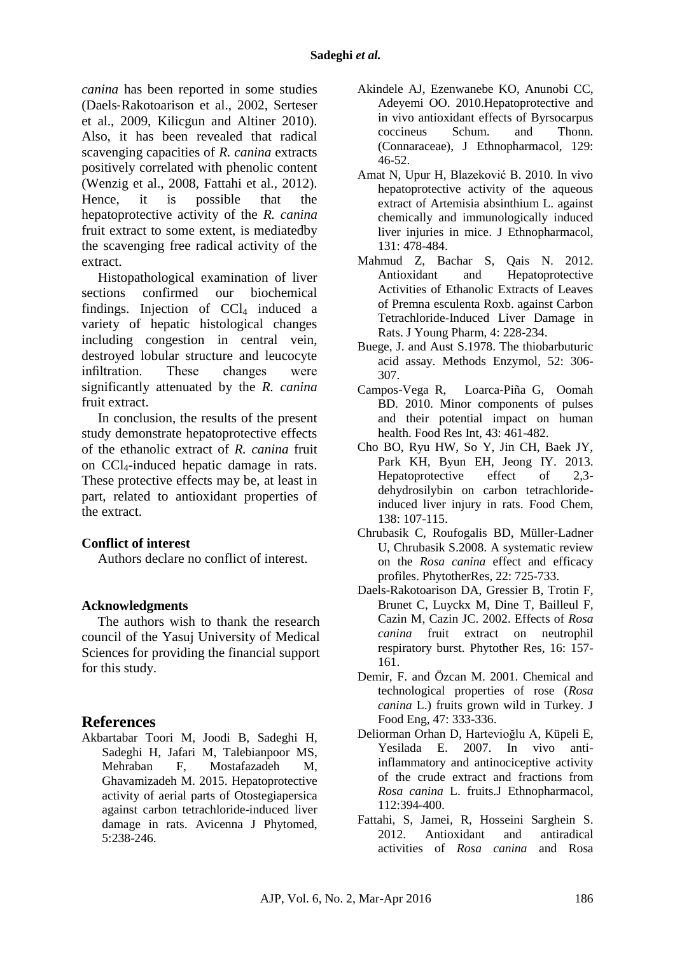*canina* has been reported in some studies (Daels‐[Rakotoarison et al.,](#page-5-9) 2002, [Serteser](#page-7-6)  [et al.,](#page-7-6) 2009, [Kilicgun and Altiner 2010\)](#page-6-7). Also, it has been revealed that radical scavenging capacities of *R. canina* extracts positively correlated with phenolic content [\(Wenzig et al.,](#page-7-7) 2008, [Fattahi et al.,](#page-5-3) 2012). Hence, it is possible that the hepatoprotective activity of the *R. canina* fruit extract to some extent, is mediatedby the scavenging free radical activity of the extract.

Histopathological examination of liver sections confirmed our biochemical findings. Injection of  $CCl<sub>4</sub>$  induced a variety of hepatic histological changes including congestion in central vein, destroyed lobular structure and leucocyte infiltration. These changes were significantly attenuated by the *R. canina* fruit extract.

In conclusion, the results of the present study demonstrate hepatoprotective effects of the ethanolic extract of *R. canina* fruit on CCl4-induced hepatic damage in rats. These protective effects may be, at least in part, related to antioxidant properties of the extract.

#### **Conflict of interest**

Authors declare no conflict of interest.

#### **Acknowledgments**

The authors wish to thank the research council of the Yasuj University of Medical Sciences for providing the financial support for this study.

#### **References**

[Akbartabar Toori M,](http://www.ncbi.nlm.nih.gov/pubmed/?term=Akbartabar%20Toori%20M%5BAuthor%5D&cauthor=true&cauthor_uid=26101757) [Joodi B,](http://www.ncbi.nlm.nih.gov/pubmed/?term=Joodi%20B%5BAuthor%5D&cauthor=true&cauthor_uid=26101757) [Sadeghi H,](http://www.ncbi.nlm.nih.gov/pubmed/?term=Sadeghi%20H%5BAuthor%5D&cauthor=true&cauthor_uid=26101757) [Sadeghi H,](http://www.ncbi.nlm.nih.gov/pubmed/?term=Sadeghi%20H%5BAuthor%5D&cauthor=true&cauthor_uid=26101757) [Jafari M,](http://www.ncbi.nlm.nih.gov/pubmed/?term=Jafari%20M%5BAuthor%5D&cauthor=true&cauthor_uid=26101757) [Talebianpoor MS,](http://www.ncbi.nlm.nih.gov/pubmed/?term=Talebianpoor%20MS%5BAuthor%5D&cauthor=true&cauthor_uid=26101757) [Mehraban F,](http://www.ncbi.nlm.nih.gov/pubmed/?term=Mehraban%20F%5BAuthor%5D&cauthor=true&cauthor_uid=26101757) [Mostafazadeh M,](http://www.ncbi.nlm.nih.gov/pubmed/?term=Mostafazadeh%20M%5BAuthor%5D&cauthor=true&cauthor_uid=26101757) [Ghavamizadeh M.](http://www.ncbi.nlm.nih.gov/pubmed/?term=Ghavamizadeh%20M%5BAuthor%5D&cauthor=true&cauthor_uid=26101757) 2015. Hepatoprotective activity of aerial parts of Otostegiapersica against carbon tetrachloride-induced liver damage in rats. Avicenna J Phytomed, 5:238-246.

- <span id="page-5-4"></span>[Akindele AJ,](http://www.ncbi.nlm.nih.gov/pubmed/?term=Akindele%20AJ%5BAuthor%5D&cauthor=true&cauthor_uid=20219667) [Ezenwanebe KO,](http://www.ncbi.nlm.nih.gov/pubmed/?term=Ezenwanebe%20KO%5BAuthor%5D&cauthor=true&cauthor_uid=20219667) [Anunobi CC,](http://www.ncbi.nlm.nih.gov/pubmed/?term=Anunobi%20CC%5BAuthor%5D&cauthor=true&cauthor_uid=20219667) [Adeyemi OO.](http://www.ncbi.nlm.nih.gov/pubmed/?term=Adeyemi%20OO%5BAuthor%5D&cauthor=true&cauthor_uid=20219667) 2010.Hepatoprotective and in vivo antioxidant effects of Byrsocarpus coccineus Schum. and Thonn. (Connaraceae), J Ethnopharmacol, 129: 46-52.
- <span id="page-5-7"></span>[Amat N,](http://www.ncbi.nlm.nih.gov/pubmed/?term=Amat%20N%5BAuthor%5D&cauthor=true&cauthor_uid=20637853) [Upur H,](http://www.ncbi.nlm.nih.gov/pubmed/?term=Upur%20H%5BAuthor%5D&cauthor=true&cauthor_uid=20637853) [Blazeković B.](http://www.ncbi.nlm.nih.gov/pubmed/?term=Blazekovi%C4%87%20B%5BAuthor%5D&cauthor=true&cauthor_uid=20637853) 2010. In vivo hepatoprotective activity of the aqueous extract of Artemisia absinthium L. against chemically and immunologically induced liver injuries in mice. J Ethnopharmacol, 131: 478-484.
- <span id="page-5-5"></span>[Mahmud Z,](http://www.ncbi.nlm.nih.gov/pubmed/?term=Mahmud%20Z%5BAuthor%5D&cauthor=true&cauthor_uid=23493235) [Bachar S,](http://www.ncbi.nlm.nih.gov/pubmed/?term=Bachar%20S%5BAuthor%5D&cauthor=true&cauthor_uid=23493235) [Qais N.](http://www.ncbi.nlm.nih.gov/pubmed/?term=Qais%20N%5BAuthor%5D&cauthor=true&cauthor_uid=23493235) 2012. Antioxidant and Hepatoprotective Activities of Ethanolic Extracts of Leaves of Premna esculenta Roxb. against Carbon Tetrachloride-Induced Liver Damage in Rats. J Young Pharm, 4: 228-234.
- <span id="page-5-6"></span>Buege, J. and Aust S.1978. The thiobarbuturic acid assay. Methods Enzymol, 52: 306- 307.
- <span id="page-5-2"></span>[Campos-Vega](http://www.sciencedirect.com/science/article/pii/S0963996909002695) R, [Loarca-Piña](http://www.sciencedirect.com/science/article/pii/S0963996909002695) G, [Oomah](http://www.sciencedirect.com/science/article/pii/S0963996909002695) BD. 2010. Minor components of pulses and their potential impact on human health. Food Res Int, 43: 461-482.
- <span id="page-5-8"></span>Cho BO, Ryu HW, So Y, Jin CH, Baek JY, Park KH, Byun EH, Jeong IY. 2013. Hepatoprotective effect of 2,3 dehydrosilybin on carbon tetrachlorideinduced liver injury in rats. Food Chem, 138: 107-115.
- <span id="page-5-0"></span>[Chrubasik C,](http://www.ncbi.nlm.nih.gov/pubmed/?term=Chrubasik%20C%5BAuthor%5D&cauthor=true&cauthor_uid=18384191) [Roufogalis](http://www.ncbi.nlm.nih.gov/pubmed/?term=Roufogalis%20BD%5BAuthor%5D&cauthor=true&cauthor_uid=18384191) BD, [Müller-Ladner](http://www.ncbi.nlm.nih.gov/pubmed/?term=M%C3%BCller-Ladner%20U%5BAuthor%5D&cauthor=true&cauthor_uid=18384191)  [U,](http://www.ncbi.nlm.nih.gov/pubmed/?term=M%C3%BCller-Ladner%20U%5BAuthor%5D&cauthor=true&cauthor_uid=18384191) [Chrubasik S.](http://www.ncbi.nlm.nih.gov/pubmed/?term=Chrubasik%20S%5BAuthor%5D&cauthor=true&cauthor_uid=18384191)2008. A systematic review on the *Rosa canina* effect and efficacy profiles. PhytotherRes, 22: 725-733.
- <span id="page-5-9"></span>[Daels-Rakotoarison DA,](http://www.ncbi.nlm.nih.gov/pubmed/?term=Daels-Rakotoarison%20DA%5BAuthor%5D&cauthor=true&cauthor_uid=11933119) [Gressier B,](http://www.ncbi.nlm.nih.gov/pubmed/?term=Gressier%20B%5BAuthor%5D&cauthor=true&cauthor_uid=11933119) [Trotin F,](http://www.ncbi.nlm.nih.gov/pubmed/?term=Trotin%20F%5BAuthor%5D&cauthor=true&cauthor_uid=11933119) [Brunet C,](http://www.ncbi.nlm.nih.gov/pubmed/?term=Brunet%20C%5BAuthor%5D&cauthor=true&cauthor_uid=11933119) [Luyckx M,](http://www.ncbi.nlm.nih.gov/pubmed/?term=Luyckx%20M%5BAuthor%5D&cauthor=true&cauthor_uid=11933119) [Dine T,](http://www.ncbi.nlm.nih.gov/pubmed/?term=Dine%20T%5BAuthor%5D&cauthor=true&cauthor_uid=11933119) [Bailleul F,](http://www.ncbi.nlm.nih.gov/pubmed/?term=Bailleul%20F%5BAuthor%5D&cauthor=true&cauthor_uid=11933119) [Cazin M,](http://www.ncbi.nlm.nih.gov/pubmed/?term=Cazin%20M%5BAuthor%5D&cauthor=true&cauthor_uid=11933119) [Cazin JC.](http://www.ncbi.nlm.nih.gov/pubmed/?term=Cazin%20JC%5BAuthor%5D&cauthor=true&cauthor_uid=11933119) 2002. Effects of *Rosa canina* fruit extract on neutrophil respiratory burst. Phytother Res, 16: 157- 161.
- <span id="page-5-1"></span>Demir, F. and Özcan M. 2001. Chemical and technological properties of rose (*Rosa canina* L.) fruits grown wild in Turkey. J Food Eng, 47: 333-336.
- [Deliorman Orhan D,](http://www.ncbi.nlm.nih.gov/pubmed/?term=Deliorman%20Orhan%20D%5BAuthor%5D&cauthor=true&cauthor_uid=17482395) [Hartevioğlu A,](http://www.ncbi.nlm.nih.gov/pubmed/?term=Hartevio%C4%9Flu%20A%5BAuthor%5D&cauthor=true&cauthor_uid=17482395) [Küpeli E,](http://www.ncbi.nlm.nih.gov/pubmed/?term=K%C3%BCpeli%20E%5BAuthor%5D&cauthor=true&cauthor_uid=17482395) [Yesilada E.](http://www.ncbi.nlm.nih.gov/pubmed/?term=Yesilada%20E%5BAuthor%5D&cauthor=true&cauthor_uid=17482395) 2007. In vivo antiinflammatory and antinociceptive activity of the crude extract and fractions from *Rosa canina* L. fruits[.J Ethnopharmacol,](http://www.ncbi.nlm.nih.gov/pubmed/17482395) 112:394-400.
- <span id="page-5-3"></span>Fattahi, S, Jamei, R, Hosseini Sarghein S. 2012. Antioxidant and antiradical activities of *Rosa canina* and Rosa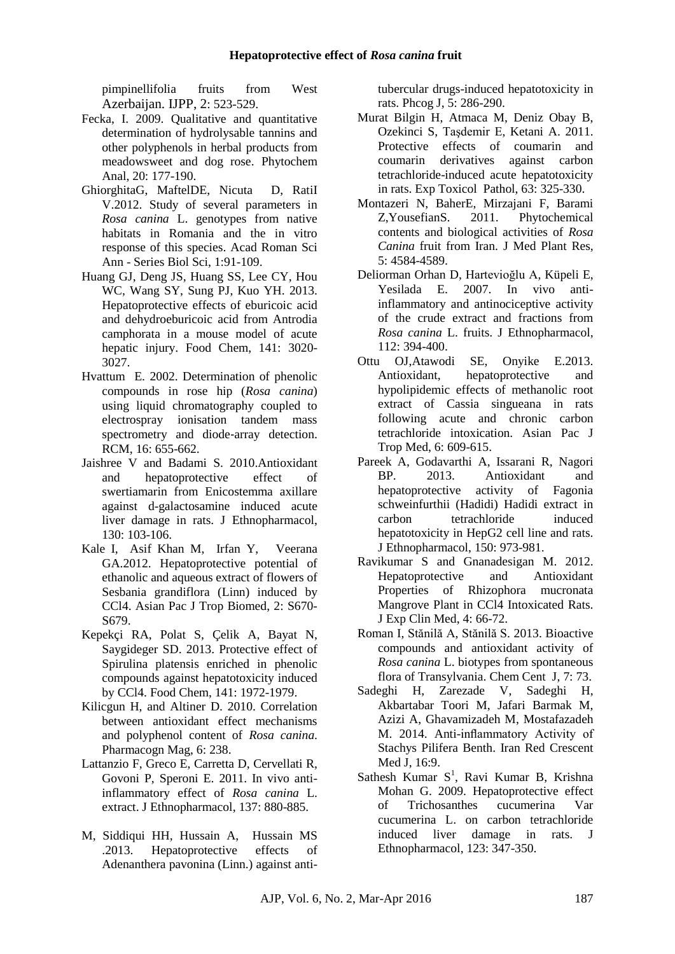pimpinellifolia fruits from West Azerbaijan. IJPP, 2: 523-529.

- <span id="page-6-17"></span>Fecka, I. 2009. Qualitative and quantitative determination of hydrolysable tannins and other polyphenols in herbal products from meadowsweet and dog rose. Phytochem Anal, 20: 177-190.
- <span id="page-6-4"></span>GhiorghitaG, MaftelDE, Nicuta D, RatiI V.2012. Study of several parameters in *Rosa canina* L. genotypes from native habitats in Romania and the in vitro response of this species. Acad Roman Sci Ann - Series Biol Sci, 1:91-109.
- <span id="page-6-11"></span>[Huang GJ,](http://www.ncbi.nlm.nih.gov/pubmed/?term=Huang%20GJ%5BAuthor%5D&cauthor=true&cauthor_uid=23871054) [Deng JS,](http://www.ncbi.nlm.nih.gov/pubmed/?term=Deng%20JS%5BAuthor%5D&cauthor=true&cauthor_uid=23871054) [Huang SS,](http://www.ncbi.nlm.nih.gov/pubmed/?term=Huang%20SS%5BAuthor%5D&cauthor=true&cauthor_uid=23871054) [Lee CY,](http://www.ncbi.nlm.nih.gov/pubmed/?term=Lee%20CY%5BAuthor%5D&cauthor=true&cauthor_uid=23871054) [Hou](http://www.ncbi.nlm.nih.gov/pubmed/?term=Hou%20WC%5BAuthor%5D&cauthor=true&cauthor_uid=23871054)  [WC,](http://www.ncbi.nlm.nih.gov/pubmed/?term=Hou%20WC%5BAuthor%5D&cauthor=true&cauthor_uid=23871054) [Wang SY,](http://www.ncbi.nlm.nih.gov/pubmed/?term=Wang%20SY%5BAuthor%5D&cauthor=true&cauthor_uid=23871054) [Sung PJ,](http://www.ncbi.nlm.nih.gov/pubmed/?term=Sung%20PJ%5BAuthor%5D&cauthor=true&cauthor_uid=23871054) [Kuo YH.](http://www.ncbi.nlm.nih.gov/pubmed/?term=Kuo%20YH%5BAuthor%5D&cauthor=true&cauthor_uid=23871054) 2013. Hepatoprotective effects of eburicoic acid and dehydroeburicoic acid from Antrodia camphorata in a mouse model of acute hepatic injury. Food Chem, 141: 3020- 3027.
- <span id="page-6-16"></span>Hvattum E. 2002. Determination of phenolic compounds in rose hip (*Rosa canina*) using liquid chromatography coupled to electrospray ionisation tandem mass spectrometry and diode-array detection. RCM, 16: 655-662.
- <span id="page-6-1"></span>Jaishree V and Badami S. 2010.Antioxidant and hepatoprotective effect of swertiamarin from Enicostemma axillare against d-galactosamine induced acute liver damage in rats. J Ethnopharmacol, 130: 103-106.
- <span id="page-6-0"></span>[Kale](http://www.sciencedirect.com/science/article/pii/S2221169112602949) I, [Asif Khan](http://www.sciencedirect.com/science/article/pii/S2221169112602949) M, [Irfan](http://www.sciencedirect.com/science/article/pii/S2221169112602949) Y, [Veerana](http://www.sciencedirect.com/science/article/pii/S2221169112602949) GA.2012. Hepatoprotective potential of ethanolic and aqueous extract of flowers of Sesbania grandiflora (Linn) induced by CCl4. Asian Pac J Trop Biomed, 2: S670- S679.
- <span id="page-6-15"></span>[Kepekçi RA,](http://www.ncbi.nlm.nih.gov/pubmed/?term=Kepek%C3%A7i%20RA%5BAuthor%5D&cauthor=true&cauthor_uid=23870917) [Polat S,](http://www.ncbi.nlm.nih.gov/pubmed/?term=Polat%20S%5BAuthor%5D&cauthor=true&cauthor_uid=23870917) [Çelik A,](http://www.ncbi.nlm.nih.gov/pubmed/?term=%C3%87elik%20A%5BAuthor%5D&cauthor=true&cauthor_uid=23870917) [Bayat N,](http://www.ncbi.nlm.nih.gov/pubmed/?term=Bayat%20N%5BAuthor%5D&cauthor=true&cauthor_uid=23870917) [Saygideger SD.](http://www.ncbi.nlm.nih.gov/pubmed/?term=Saygideger%20SD%5BAuthor%5D&cauthor=true&cauthor_uid=23870917) 2013. Protective effect of Spirulina platensis enriched in phenolic compounds against hepatotoxicity induced by CCl4. Food Chem, 141: 1972-1979.
- <span id="page-6-7"></span>Kilicgun H, and Altiner D. 2010. Correlation between antioxidant effect mechanisms and polyphenol content of *Rosa canina*. Pharmacogn Mag, 6: 238.
- <span id="page-6-5"></span>[Lattanzio F,](http://www.ncbi.nlm.nih.gov/pubmed/?term=Lattanzio%20F%5BAuthor%5D&cauthor=true&cauthor_uid=21771653) [Greco E,](http://www.ncbi.nlm.nih.gov/pubmed/?term=Greco%20E%5BAuthor%5D&cauthor=true&cauthor_uid=21771653) [Carretta D,](http://www.ncbi.nlm.nih.gov/pubmed/?term=Carretta%20D%5BAuthor%5D&cauthor=true&cauthor_uid=21771653) [Cervellati R,](http://www.ncbi.nlm.nih.gov/pubmed/?term=Cervellati%20R%5BAuthor%5D&cauthor=true&cauthor_uid=21771653) [Govoni P,](http://www.ncbi.nlm.nih.gov/pubmed/?term=Govoni%20P%5BAuthor%5D&cauthor=true&cauthor_uid=21771653) [Speroni E.](http://www.ncbi.nlm.nih.gov/pubmed/?term=Speroni%20E%5BAuthor%5D&cauthor=true&cauthor_uid=21771653) 2011. In vivo antiinflammatory effect of *Rosa canina* L. extract. J Ethnopharmacol, 137: 880-885.
- M, [Siddiqui](http://www.sciencedirect.com/science/article/pii/S0975357513000552) HH, [Hussain](http://www.sciencedirect.com/science/article/pii/S0975357513000552) A, [Hussain](http://www.sciencedirect.com/science/article/pii/S0975357513000552) MS .2013. Hepatoprotective effects of Adenanthera pavonina (Linn.) against anti-

tubercular drugs-induced hepatotoxicity in rats. Phcog J, 5: 286-290.

- <span id="page-6-9"></span>[Murat Bilgin H,](http://www.ncbi.nlm.nih.gov/pubmed/?term=Murat%20Bilgin%20H%5BAuthor%5D&cauthor=true&cauthor_uid=20207117) [Atmaca M,](http://www.ncbi.nlm.nih.gov/pubmed/?term=Atmaca%20M%5BAuthor%5D&cauthor=true&cauthor_uid=20207117) [Deniz Obay B,](http://www.ncbi.nlm.nih.gov/pubmed/?term=Deniz%20Obay%20B%5BAuthor%5D&cauthor=true&cauthor_uid=20207117) [Ozekinci S,](http://www.ncbi.nlm.nih.gov/pubmed/?term=Ozekinci%20S%5BAuthor%5D&cauthor=true&cauthor_uid=20207117) [Taşdemir E,](http://www.ncbi.nlm.nih.gov/pubmed/?term=Ta%C5%9Fdemir%20E%5BAuthor%5D&cauthor=true&cauthor_uid=20207117) [Ketani A.](http://www.ncbi.nlm.nih.gov/pubmed/?term=Ketani%20A%5BAuthor%5D&cauthor=true&cauthor_uid=20207117) 2011. Protective effects of coumarin and coumarin derivatives against carbon tetrachloride-induced acute hepatotoxicity in rats. Exp Toxicol Pathol, 63: 325-330.
- <span id="page-6-8"></span>Montazeri N, BaherE, Mirzajani F, Barami Z,YousefianS. 2011. Phytochemical contents and biological activities of *Rosa Canina* fruit from Iran. J Med Plant Res, 5: 4584-4589.
- <span id="page-6-3"></span>[Deliorman Orhan D,](http://www.ncbi.nlm.nih.gov/pubmed/?term=Deliorman%20Orhan%20D%5BAuthor%5D&cauthor=true&cauthor_uid=17482395) [Hartevioğlu A,](http://www.ncbi.nlm.nih.gov/pubmed/?term=Hartevio%C4%9Flu%20A%5BAuthor%5D&cauthor=true&cauthor_uid=17482395) [Küpeli E,](http://www.ncbi.nlm.nih.gov/pubmed/?term=K%C3%BCpeli%20E%5BAuthor%5D&cauthor=true&cauthor_uid=17482395) [Yesilada E.](http://www.ncbi.nlm.nih.gov/pubmed/?term=Yesilada%20E%5BAuthor%5D&cauthor=true&cauthor_uid=17482395) 2007. In vivo antiinflammatory and antinociceptive activity of the crude extract and fractions from *Rosa canina* L. fruits. J Ethnopharmacol, 112: 394-400.
- <span id="page-6-10"></span>[Ottu OJ](http://www.ncbi.nlm.nih.gov/pubmed/?term=Ottu%20OJ%5BAuthor%5D&cauthor=true&cauthor_uid=23790331)[,Atawodi SE,](http://www.ncbi.nlm.nih.gov/pubmed/?term=Atawodi%20SE%5BAuthor%5D&cauthor=true&cauthor_uid=23790331) [Onyike E.](http://www.ncbi.nlm.nih.gov/pubmed/?term=Onyike%20E%5BAuthor%5D&cauthor=true&cauthor_uid=23790331)2013. Antioxidant, hepatoprotective and hypolipidemic effects of methanolic root extract of Cassia singueana in rats following acute and chronic carbon tetrachloride intoxication. Asian Pac J Trop Med, 6: 609-615.
- <span id="page-6-2"></span>[Pareek A,](http://www.ncbi.nlm.nih.gov/pubmed/?term=Pareek%20A%5BAuthor%5D&cauthor=true&cauthor_uid=24140589) [Godavarthi A,](http://www.ncbi.nlm.nih.gov/pubmed/?term=Godavarthi%20A%5BAuthor%5D&cauthor=true&cauthor_uid=24140589) [Issarani R,](http://www.ncbi.nlm.nih.gov/pubmed/?term=Issarani%20R%5BAuthor%5D&cauthor=true&cauthor_uid=24140589) [Nagori](http://www.ncbi.nlm.nih.gov/pubmed/?term=Nagori%20BP%5BAuthor%5D&cauthor=true&cauthor_uid=24140589)  [BP.](http://www.ncbi.nlm.nih.gov/pubmed/?term=Nagori%20BP%5BAuthor%5D&cauthor=true&cauthor_uid=24140589) 2013. Antioxidant and hepatoprotective activity of Fagonia schweinfurthii (Hadidi) Hadidi extract in carbon tetrachloride induced hepatotoxicity in HepG2 cell line and rats. J Ethnopharmacol, 150: 973-981.
- <span id="page-6-14"></span>Ravikumar S and Gnanadesigan M. 2012. Hepatoprotective and Antioxidant Properties of Rhizophora mucronata Mangrove Plant in CCl4 Intoxicated Rats. J Exp Clin Med, 4: 66-72.
- <span id="page-6-6"></span>[Roman I,](http://www.ncbi.nlm.nih.gov/pubmed/?term=Roman%20I%5BAuthor%5D&cauthor=true&cauthor_uid=23618509) [Stănilă A,](http://www.ncbi.nlm.nih.gov/pubmed/?term=St%C4%83nil%C4%83%20A%5BAuthor%5D&cauthor=true&cauthor_uid=23618509) [Stănilă S.](http://www.ncbi.nlm.nih.gov/pubmed/?term=St%C4%83nil%C4%83%20S%5BAuthor%5D&cauthor=true&cauthor_uid=23618509) 2013. Bioactive compounds and antioxidant activity of *Rosa canina* L. biotypes from spontaneous flora of Transylvania. Chem Cent J, 7: 73.
- [Sadeghi H,](http://www.ncbi.nlm.nih.gov/pubmed/?term=Sadeghi%20H%5BAuthor%5D&cauthor=true&cauthor_uid=25593730) [Zarezade V,](http://www.ncbi.nlm.nih.gov/pubmed/?term=Zarezade%20V%5BAuthor%5D&cauthor=true&cauthor_uid=25593730) [Sadeghi H,](http://www.ncbi.nlm.nih.gov/pubmed/?term=Sadeghi%20H%5BAuthor%5D&cauthor=true&cauthor_uid=25593730) [Akbartabar Toori M,](http://www.ncbi.nlm.nih.gov/pubmed/?term=Akbartabar%20Toori%20M%5BAuthor%5D&cauthor=true&cauthor_uid=25593730) [Jafari Barmak M,](http://www.ncbi.nlm.nih.gov/pubmed/?term=Jafari%20Barmak%20M%5BAuthor%5D&cauthor=true&cauthor_uid=25593730) [Azizi A,](http://www.ncbi.nlm.nih.gov/pubmed/?term=Azizi%20A%5BAuthor%5D&cauthor=true&cauthor_uid=25593730) [Ghavamizadeh M,](http://www.ncbi.nlm.nih.gov/pubmed/?term=Ghavamizadeh%20M%5BAuthor%5D&cauthor=true&cauthor_uid=25593730) [Mostafazadeh](http://www.ncbi.nlm.nih.gov/pubmed/?term=Mostafazadeh%20M%5BAuthor%5D&cauthor=true&cauthor_uid=25593730)  [M.](http://www.ncbi.nlm.nih.gov/pubmed/?term=Mostafazadeh%20M%5BAuthor%5D&cauthor=true&cauthor_uid=25593730) 2014. [Anti-inflammatory Activity of](http://www.ncbi.nlm.nih.gov/pmc/articles/PMC4270644/)  [Stachys Pilifera Benth.](http://www.ncbi.nlm.nih.gov/pmc/articles/PMC4270644/) Iran Red Crescent Med J, 16:9.
- <span id="page-6-13"></span><span id="page-6-12"></span>Sathesh Kumar  $S^1$ , [Ravi Kumar B,](http://www.ncbi.nlm.nih.gov/pubmed/?term=Ravi%20Kumar%20B%5BAuthor%5D&cauthor=true&cauthor_uid=19429383) Krishna [Mohan G.](http://www.ncbi.nlm.nih.gov/pubmed/?term=Krishna%20Mohan%20G%5BAuthor%5D&cauthor=true&cauthor_uid=19429383) 2009. Hepatoprotective effect of Trichosanthes cucumerina Var cucumerina L. on carbon tetrachloride induced liver damage in rats. J Ethnopharmacol, 123: 347-350.